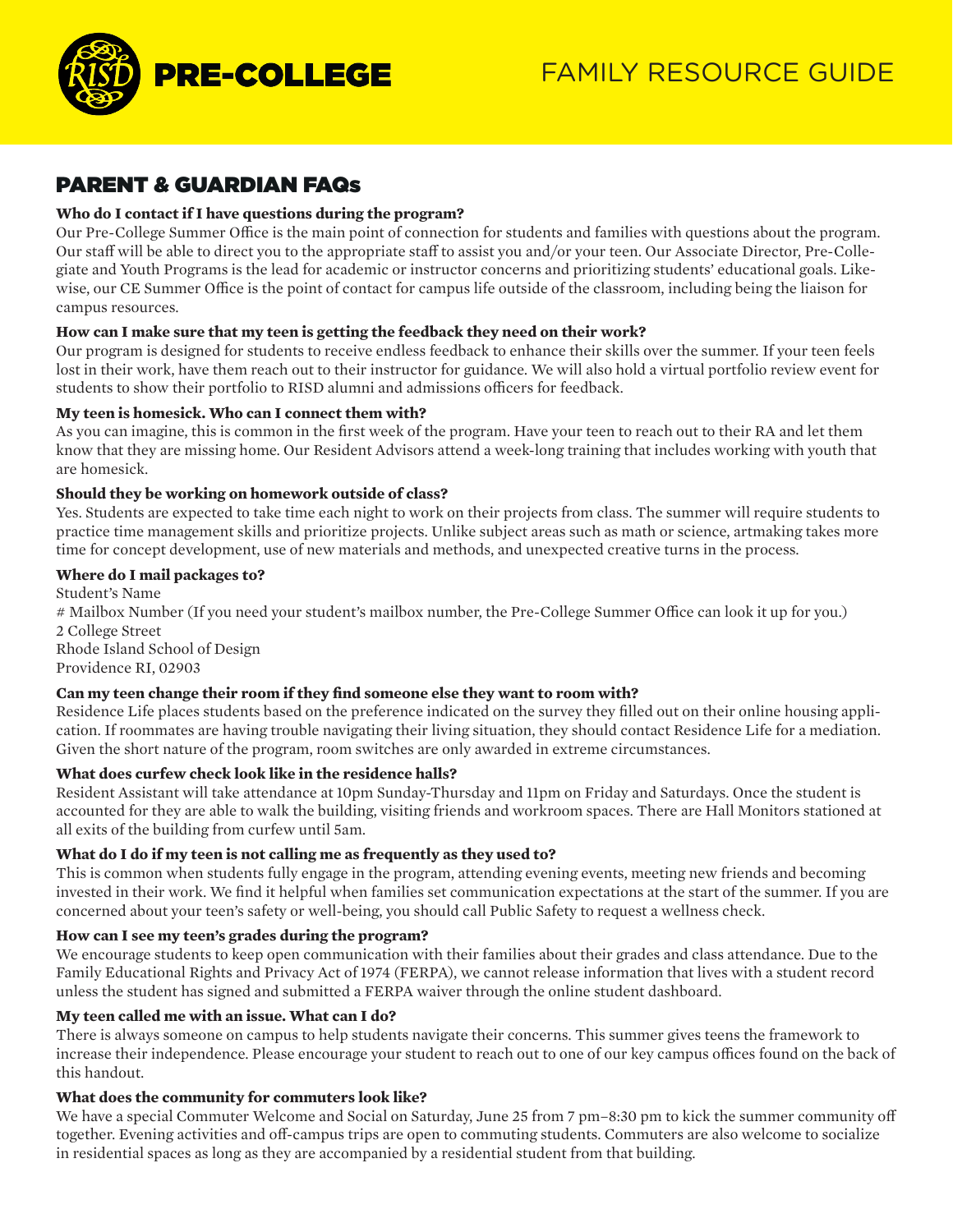

# PARENT & GUARDIAN FAQs

# **Who do I contact if I have questions during the program?**

Our Pre-College Summer Office is the main point of connection for students and families with questions about the program. Our staff will be able to direct you to the appropriate staff to assist you and/or your teen. Our Associate Director, Pre-Collegiate and Youth Programs is the lead for academic or instructor concerns and prioritizing students' educational goals. Likewise, our CE Summer Office is the point of contact for campus life outside of the classroom, including being the liaison for campus resources.

# **How can I make sure that my teen is getting the feedback they need on their work?**

Our program is designed for students to receive endless feedback to enhance their skills over the summer. If your teen feels lost in their work, have them reach out to their instructor for guidance. We will also hold a virtual portfolio review event for students to show their portfolio to RISD alumni and admissions officers for feedback.

# **My teen is homesick. Who can I connect them with?**

As you can imagine, this is common in the first week of the program. Have your teen to reach out to their RA and let them know that they are missing home. Our Resident Advisors attend a week-long training that includes working with youth that are homesick.

# **Should they be working on homework outside of class?**

Yes. Students are expected to take time each night to work on their projects from class. The summer will require students to practice time management skills and prioritize projects. Unlike subject areas such as math or science, artmaking takes more time for concept development, use of new materials and methods, and unexpected creative turns in the process.

# **Where do I mail packages to?**

Student's Name # Mailbox Number (If you need your student's mailbox number, the Pre-College Summer Office can look it up for you.) 2 College Street Rhode Island School of Design

Providence RI, 02903

# **Can my teen change their room if they find someone else they want to room with?**

Residence Life places students based on the preference indicated on the survey they filled out on their online housing application. If roommates are having trouble navigating their living situation, they should contact Residence Life for a mediation. Given the short nature of the program, room switches are only awarded in extreme circumstances.

# **What does curfew check look like in the residence halls?**

Resident Assistant will take attendance at 10pm Sunday-Thursday and 11pm on Friday and Saturdays. Once the student is accounted for they are able to walk the building, visiting friends and workroom spaces. There are Hall Monitors stationed at all exits of the building from curfew until 5am.

### **What do I do if my teen is not calling me as frequently as they used to?**

This is common when students fully engage in the program, attending evening events, meeting new friends and becoming invested in their work. We find it helpful when families set communication expectations at the start of the summer. If you are concerned about your teen's safety or well-being, you should call Public Safety to request a wellness check.

### **How can I see my teen's grades during the program?**

We encourage students to keep open communication with their families about their grades and class attendance. Due to the Family Educational Rights and Privacy Act of 1974 (FERPA), we cannot release information that lives with a student record unless the student has signed and submitted a FERPA waiver through the online student dashboard.

### **My teen called me with an issue. What can I do?**

There is always someone on campus to help students navigate their concerns. This summer gives teens the framework to increase their independence. Please encourage your student to reach out to one of our key campus offices found on the back of this handout.

### **What does the community for commuters look like?**

We have a special Commuter Welcome and Social on Saturday, June 25 from 7 pm–8:30 pm to kick the summer community off together. Evening activities and off-campus trips are open to commuting students. Commuters are also welcome to socialize in residential spaces as long as they are accompanied by a residential student from that building.